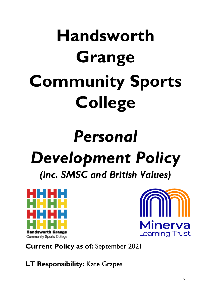# **Handsworth Grange Community Sports College**

# *Personal Development Policy (inc. SMSC and British Values)*





**Current Policy as of:** September 2021

**LT Responsibility:** Kate Grapes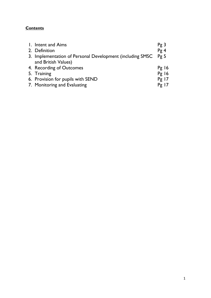# **Contents**

| 1. Intent and Aims                                             | Pg3     |
|----------------------------------------------------------------|---------|
| 2. Definition                                                  | Pg4     |
| 3. Implementation of Personal Development (including SMSC Pg 5 |         |
| and British Values)                                            |         |
| 4. Recording of Outcomes                                       | Pg16    |
| 5. Training                                                    | Pg 16   |
| 6. Provision for pupils with SEND                              | $Pg$ 17 |
| 7. Monitoring and Evaluating                                   | $Pg$ 17 |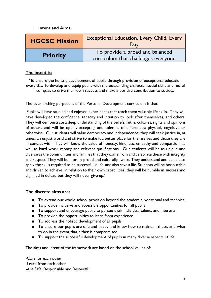#### **1. Intent and Aims**

| <b>HGCSC Mission</b> | <b>Exceptional Education, Every Child, Every</b><br>Day                |  |  |  |
|----------------------|------------------------------------------------------------------------|--|--|--|
| <b>Priority</b>      | To provide a broad and balanced<br>curriculum that challenges everyone |  |  |  |

#### **The intent is:**

'To ensure the holistic development of pupils through provision of exceptional education every day. To develop and equip pupils with the outstanding character, social skills and moral compass to drive their own success and make a positive contribution to society.'

The over-arching purpose is of the Personal Development curriculum is that:

'Pupils will have studied and enjoyed experiences that teach them valuable life skills. They will have developed the confidence, tenacity and intuition to look after themselves, and others. They will demonstrate a deep understanding of the beliefs, faiths, cultures, rights and opinions of others and will be openly accepting and tolerant of differences; physical, cognitive or otherwise. Our students will value democracy and independence; they will seek justice in, at times, an unjust world and strive to make it a better place for themselves and those they are in contact with. They will know the value of honesty, kindness, empathy and compassion, as well as hard work, money and relevant qualifications. Our students will be as unique and diverse as the communities and families that they come from and celebrate these with integrity and respect. They will be morally proud and culturally aware. They understand and be able to apply the skills required to be successful in life, and also save a life. Students will be honourable and driven to achieve, in relation to their own capabilities; they will be humble in success and dignified in defeat, but they will never give up.'

#### **The discrete aims are:**

- To extend our whole school provision beyond the academic, vocational and technical
- To provide inclusive and accessible opportunities for all pupils
- To support and encourage pupils to pursue their individual talents and interests
- To provide the opportunities to learn from experience
- To address the holistic development of all pupils
- To ensure our pupils are safe and happy and know how to maintain these, and what to do in the event that either is compromised
- To support the successful development of pupils in many diverse aspects of life

The aims and intent of the framework are based on the school values of:

-Care for each other -Learn from each other -Are Safe, Responsible and Respectful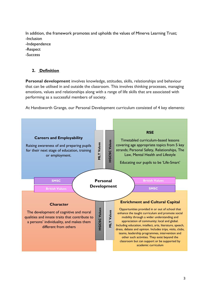In addition, the framework promotes and upholds the values of Minerva Learning Trust; -Inclusion

- -Independence
- -Respect
- -Success

# **2. Definition**

**Personal development** involves knowledge, attitudes, skills, relationships and behaviour that can be utilised in and outside the classroom. This involves thinking processes, managing emotions, values and relationships along with a range of life skills that are associated with performing as a successful members of society.

At Handsworth Grange, our Personal Development curriculum consisted of 4 key elements:

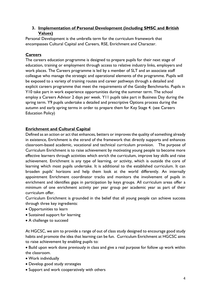# **3. Implementation of Personal Development (including SMSC and British Values)**

Personal Development is the umbrella term for the curriculum framework that encompasses Cultural Capital and Careers, RSE, Enrichment and Character.

# **Careers**

The careers education programme is designed to prepare pupils for their next stage of education, training or employment through access to relative industry links, employers and work places. The Careers programme is led by a member of SLT and an associate staff colleague who manage the strategic and operational elements of the programme. Pupils will be exposed to a variety of training routes and career pathways through a detailed and explicit careers programme that meet the requirements of the Gatsby Benchmarks. Pupils in Y10 take part in work experience opportunities during the summer term. The school employ a Careers Advisor 2 days per week. Y11 pupils take part in Business Day during the spring term. Y9 pupils undertake a detailed and prescriptive Options process during the autumn and early spring terms in order to prepare them for Key Stage 4. (see Careers Education Policy)

# **Enrichment and Cultural Capital**

Defined as an action or act that enhances, betters or improves the quality of something already in existence, Enrichment is the strand of the framework that directly supports and enhances classroom-based academic, vocational and technical curriculum provision. The purpose of Curriculum Enrichment is to raise achievement by motivating young people to become more effective learners through activities which enrich the curriculum, improve key skills and raise achievement. Enrichment is any type of learning, or activity, which is outside the core of learning which most pupils undertake. It is additional to the established curriculum. It can broaden pupils' horizons and help them look at the world differently. An internally appointment Enrichment coordinator tracks and monitors the involvement of pupils in enrichment and identifies gaps in participation by keys groups. All curriculum areas offer a minimum of one enrichment activity per year group per academic year as part of their curriculum offer.

Curriculum Enrichment is grounded in the belief that all young people can achieve success through three key ingredients:

- Opportunities to learn
- Sustained support for learning
- A challenge to succeed

At HGCSC, we aim to provide a range of out of class study designed to encourage good study habits and promote the idea that learning can be fun. Curriculum Enrichment at HGCSC aims to raise achievement by enabling pupils to:

• Build upon work done previously in class and give a real purpose for follow up work within the classroom.

- Work individually
- Develop good study strategies
- Support and work cooperatively with others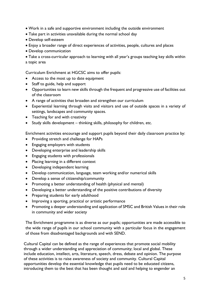- Work in a safe and supportive environment including the outside environment
- Take part in activities unavailable during the normal school day
- Develop self-esteem
- Enjoy a broader range of direct experiences of activities, people, cultures and places
- Develop communication

• Take a cross-curricular approach to learning with all year's groups teaching key skills within a topic area

Curriculum Enrichment at HGCSC aims to offer pupils:

- Access to the most up to date equipment
- Staff to guide, help and support
- Opportunities to learn new skills through the frequent and progressive use of facilities out of the classroom
- A range of activities that broaden and strengthen our curriculum
- Experiential learning through visits and visitors and use of outside spaces in a variety of settings, landscapes and community spaces.
- Teaching for and with creativity
- Study skills development thinking skills, philosophy for children, etc.

Enrichment activities encourage and support pupils beyond their daily classroom practice by:

- Providing stretch and challenge for HAPs
- Engaging employers with students
- Developing enterprise and leadership skills
- Engaging students with professionals
- Placing learning in a different context
- Developing independent learning
- Develop communication, language, team working and/or numerical skills
- Develop a sense of citizenship/community
- Promoting a better understanding of health (physical and mental)
- Developing a better understanding of the positive contributions of diversity
- Preparing students for early adulthood
- Improving a sporting, practical or artistic performance
- Promoting a deeper understanding and application of SMSC and British Values in their role in community and wider society

The Enrichment programme is as diverse as our pupils; opportunities are made accessible to the wide range of pupils in our school community with a particular focus in the engagement of those from disadvantaged backgrounds and with SEND.

Cultural Capital can be defined as the range of experiences that promote social mobility through a wider understanding and appreciation of community; local and global. These include education, intellect, arts, literature, speech, dress, debate and opinion. The purpose of these activities is to raise awareness of society and community. Cultural Capital opportunities develop the essential knowledge that pupils need to be educated citizens, introducing them to the best that has been thought and said and helping to engender an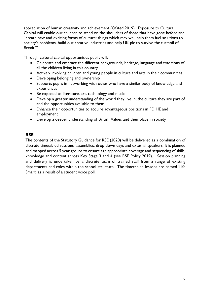appreciation of human creativity and achievement (Ofsted 2019). Exposure to Cultural Capital will enable our children to stand on the shoulders of those that have gone before and "create new and exciting forms of culture; things which may well help them fuel solutions to society's problems, build our creative industries and help UK plc to survive the turmoil of Brexit.'"

Through cultural capital opportunities pupils will:

- Celebrate and embrace the different backgrounds, heritage, language and traditions of all the children living in this country
- Actively involving children and young people in culture and arts in their communities
- Developing belonging and ownership
- Supports pupils in networking with other who have a similar body of knowledge and experiences
- Be exposed to literature, art, technology and music
- Develop a greater understanding of the world they live in; the culture they are part of and the opportunities available to them
- Enhance their opportunities to acquire advantageous positions in FE, HE and employment
- Develop a deeper understanding of British Values and their place in society

## **RSE**

The contents of the Statutory Guidance for RSE (2020) will be delivered as a combination of discrete timetabled sessions, assemblies, drop down days and external speakers. It is planned and mapped across 5 year groups to ensure age appropriate coverage and sequencing of skills, knowledge and content across Key Stage 3 and 4 (see RSE Policy 2019). Session planning and delivery is undertaken by a discrete team of trained staff from a range of existing departments and roles within the school structure. The timetabled lessons are named 'Life Smart' as a result of a student voice poll.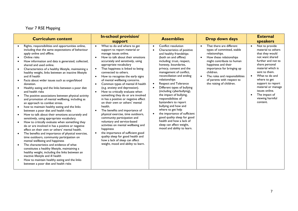# Year 7 RSE Mapping

| <b>Curriculum content</b>                                                                                                                                                                                                                                                                                                                                                                                                                                                                                                                                                                                                                                                                                                                                                                                                                                                                                                                                                                                                                                                                                                                                                                                                                                                                                                                                                                                               | <b>In-school provision/</b><br>support                                                                                                                                                                                                                                                                                                                                                                                                                                                                                                                                                                                                                                                                                                                                                                                                                                                                                                                                                                           | <b>Assemblies</b>                                                                                                                                                                                                                                                                                                                                                                                                                                                                                                                                                                                                                                                                                    | Drop down days                                                                                                                                                                                                                                                                                              | <b>External</b><br>speakers                                                                                                                                                                                                                                                                             |
|-------------------------------------------------------------------------------------------------------------------------------------------------------------------------------------------------------------------------------------------------------------------------------------------------------------------------------------------------------------------------------------------------------------------------------------------------------------------------------------------------------------------------------------------------------------------------------------------------------------------------------------------------------------------------------------------------------------------------------------------------------------------------------------------------------------------------------------------------------------------------------------------------------------------------------------------------------------------------------------------------------------------------------------------------------------------------------------------------------------------------------------------------------------------------------------------------------------------------------------------------------------------------------------------------------------------------------------------------------------------------------------------------------------------------|------------------------------------------------------------------------------------------------------------------------------------------------------------------------------------------------------------------------------------------------------------------------------------------------------------------------------------------------------------------------------------------------------------------------------------------------------------------------------------------------------------------------------------------------------------------------------------------------------------------------------------------------------------------------------------------------------------------------------------------------------------------------------------------------------------------------------------------------------------------------------------------------------------------------------------------------------------------------------------------------------------------|------------------------------------------------------------------------------------------------------------------------------------------------------------------------------------------------------------------------------------------------------------------------------------------------------------------------------------------------------------------------------------------------------------------------------------------------------------------------------------------------------------------------------------------------------------------------------------------------------------------------------------------------------------------------------------------------------|-------------------------------------------------------------------------------------------------------------------------------------------------------------------------------------------------------------------------------------------------------------------------------------------------------------|---------------------------------------------------------------------------------------------------------------------------------------------------------------------------------------------------------------------------------------------------------------------------------------------------------|
| Rights, responsibilities and opportunities online,<br>including that the same expectations of behaviour<br>apply online and offline.<br>Online risks<br>How information and data is generated, collected,<br>shared and used online.<br>Characteristics of a healthy lifestyle, maintaining a<br>healthy weight, links between an inactive lifestyle<br>and ill health<br>Facts about wider issues such as organ/blood<br>donation.<br>Healthy eating and the links between a poor diet<br>and health risks<br>The positive associations between physical activity<br>and promotion of mental wellbeing, including as<br>an approach to combat stress.<br>how to maintain healthy eating and the links<br>between a poor diet and health risks<br>How to talk about their emotions accurately and<br>sensitively, using appropriate vocabulary.<br>How to critically evaluate when something they<br>do or are involved in has a positive or negative<br>effect on their own or others' mental health.<br>The benefits and importance of physical exercise,<br>time outdoors, community participation on<br>mental wellbeing and happiness<br>The characteristics and evidence of what<br>constitutes a healthy lifestyle, maintaining a<br>healthy weight, including the links between an<br>inactive lifestyle and ill health<br>How to maintain healthy eating and the links<br>between a poor diet and health risks | What to do and where to get<br>$\bullet$<br>support to report material or<br>manage issues online.<br>How to talk about their emotions<br>$\bullet$<br>accurately and sensitively, using<br>appropriate vocabulary<br>That happiness is linked to being<br>$\bullet$<br>connected to others.<br>How to recognise the early signs<br>$\bullet$<br>of mental wellbeing concerns.<br>Common types of mental ill health<br>$\bullet$<br>(e.g. anxiety and depression).<br>How to critically evaluate when<br>$\bullet$<br>something they do or are involved<br>in has a positive or negative effect<br>on their own or others' mental<br>health.<br>The benefits and importance of<br>$\bullet$<br>physical exercise, time outdoors,<br>community participation and<br>voluntary and service-based<br>activities on mental wellbeing and<br>happiness<br>the importance of sufficient good<br>$\bullet$<br>quality sleep for good health and<br>how a lack of sleep can affect<br>weight, mood and ability to learn. | Conflict resolution<br>$\bullet$<br>Characteristics of positive<br>$\bullet$<br>and healthy friendships<br>(both on and offline)<br>including: trust, respect,<br>honesty, boundaries,<br>privacy, consent and the<br>management of conflict,<br>reconciliation and ending<br>relationships<br>Respect and Tolerance<br>$\bullet$<br>Different types of bullying<br>$\bullet$<br>(including cyberbullying),<br>the impact of bullying,<br>responsibilities of<br>bystanders to report<br>bullying and how and<br>where to get help<br>the importance of sufficient<br>$\bullet$<br>good quality sleep for good<br>health and how a lack of<br>sleep can affect weight,<br>mood and ability to learn. | That there are different<br>types of committed, stable<br>relationships.<br>How these relationships<br>might contribute to human<br>happiness and their<br>importance for bringing up<br>children.<br>The roles and responsibilities<br>$\bullet$<br>of parents with respect to<br>the raising of children. | Not to provide<br>material to others<br>that they would<br>not want shared<br>further and not to<br>share personal<br>material which is<br>sent to them.<br>What to do and<br>where to get<br>support to report<br>material or manage<br>issues online.<br>The impact of<br>viewing harmful<br>content. |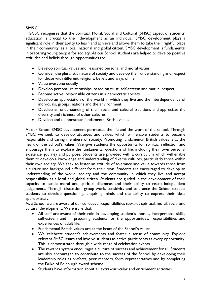# **SMSC**

HGCSC recognises that the Spiritual, Moral, Social and Cultural (SMSC) aspect of students' education is crucial to their development as an individual. SMSC development plays a significant role in their ability to learn and achieve and allows them to take their rightful place in their community, as a local, national and global citizen. SMSC development is fundamental in preparing young people for society. At our School students are helped to develop positive attitudes and beliefs through opportunities to:

- Develop spiritual values and reasoned personal and moral values
- Consider the pluralistic nature of society and develop their understanding and respect for those with different religions, beliefs and ways of life
- Value everyone equally
- Develop personal relationships, based on trust, self-esteem and mutual respect
- Become active, responsible citizens in a democratic society
- Develop an appreciation of the world in which they live and the interdependence of individuals, groups, nations and the environment
- Develop an understanding of their social and cultural traditions and appreciate the diversity and richness of other cultures.
- Develop and demonstrate fundamental British values

At our School SMSC development permeates the life and the work of the school. Through SMSC we seek to develop attitudes and values which will enable students to become responsible and caring members of society. Promoting fundamental British values is at the heart of the School's values. We give students the opportunity for spiritual reflection and encourage them to explore the fundamental questions of life, including their own personal existence, journey and purpose. Students are provided with a curriculum which will enable them to develop a knowledge and understanding of diverse cultures, particularly those within their own society. We seek to foster an attitude of tolerance and value towards those from a culture and background different from their own. Students are encouraged to develop an understanding of the world, society and the community in which they live and accept responsibility as a local and global citizen. Students are guided in the development of their capacity to tackle moral and spiritual dilemmas and their ability to reach independent judgements. Through discussion, group work, sensitivity and tolerance the School expects students to develop questioning, enquiring minds and the ability to express their ideas appropriately.

As a School we are aware of our collective responsibilities towards spiritual, moral, social and cultural development. We ensure that:

- All staff are aware of their role in developing student's morals, interpersonal skills, self-esteem and in preparing students for the opportunities, responsibilities and experiences of adult life.
- Fundamental British values are at the heart of the School's values.
- We celebrate student's achievements and foster a sense of community. Explore relevant SMSC issues and involve students as active participants at every opportunity. This is demonstrated through a wide range of celebration events.
- The rewards system encourages a culture of success and achievement for all. Students are also encouraged to contribute to the success of the School by developing their leadership roles as prefects, peer mentors, form representatives and by completing the Duke of Edinburgh award scheme.
- Students have information about all extra-curricular and enrichment activities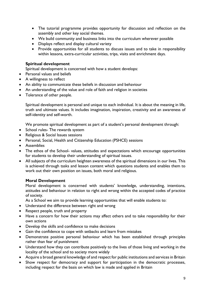- The tutorial programme provides opportunity for discussion and reflection on the assembly and other key social themes.
- We build community and business links into the curriculum wherever possible
- Displays reflect and display cultural variety
- Provide opportunities for all students to discuss issues and to take in responsibility within lessons, extra-curricular activities, trips, visits and enrichment days.

#### **Spiritual development**

Spiritual development is concerned with how a student develops:

- Personal values and beliefs
- A willingness to reflect
- An ability to communicate these beliefs in discussion and behaviour
- An understanding of the value and role of faith and religion in societies
- Tolerance of other people.

Spiritual development is personal and unique to each individual. It is about the meaning in life, truth and ultimate values. It includes imagination, inspiration, creativity and an awareness of self-identity and self-worth.

We promote spiritual development as part of a student's personal development through:

- School rules- The rewards system
- Religious & Social Issues sessions
- Personal, Social, Health and Citizenship Education (PSHCE) sessions
- Assemblies
- The ethos of the School- values, attitudes and expectations which encourage opportunities for students to develop their understanding of spiritual issues.
- All subjects of the curriculum heighten awareness of the spiritual dimensions in our lives. This is achieved through tasks and lesson content which questions students and enables them to work out their own position on issues, both moral and religious.

#### **Moral Development**

Moral development is concerned with students' knowledge, understanding, intentions, attitudes and behaviour in relation to right and wrong within the accepted codes of practice of society.

As a School we aim to provide learning opportunities that will enable students to:

- Understand the difference between right and wrong
- Respect people, truth and property
- Have a concern for how their actions may affect others and to take responsibility for their own actions
- Develop the skills and confidence to make decisions
- Gain the confidence to cope with setbacks and learn from mistakes
- Demonstrate positive personal behaviour which has been established through principles rather than fear of punishment
- Understand how they can contribute positively to the lives of those living and working in the locality of the school and to society more widely
- Acquire a broad general knowledge of and respect for public institutions and services in Britain
- Show respect for democracy and support for participation in the democratic processes, including respect for the basis on which law is made and applied in Britain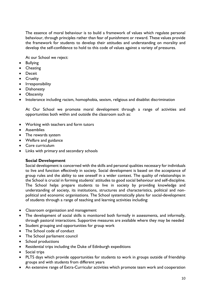The essence of moral behaviour is to build a framework of values which regulate personal behaviour, through principles rather than fear of punishment or reward. These values provide the framework for students to develop their attitudes and understanding on morality and develop the self-confidence to hold to this code of values against a variety of pressures.

At our School we reject:

- Bullying
- Cheating
- Deceit
- Cruelty
- Irresponsibility
- Dishonesty
- Obscenity
- Intolerance including racism, homophobia, sexism, religious and disablist discrimination

At Our School we promote moral development through a range of activities and opportunities both within and outside the classroom such as:

- Working with teachers and form tutors
- Assemblies
- The rewards system
- Welfare and guidance
- Core curriculum
- Links with primary and secondary schools

#### **Social Development**

Social development is concerned with the skills and personal qualities necessary for individuals to live and function effectively in society. Social development is based on the acceptance of group rules and the ability to see oneself in a wider context. The quality of relationships in the School is crucial in forming students' attitudes to good social behaviour and self-discipline. The School helps prepare students to live in society by providing knowledge and understanding of society, its institutions, structures and characteristics, political and nonpolitical and economic organisations. The School systematically plans for social-development of students through a range of teaching and learning activities including:

- Classroom organisation and management
- The development of social skills is monitored both formally in assessments, and informally, through pastoral interactions. Supportive measures are available where they may be needed
- Student grouping and opportunities for group work
- The School code of conduct
- The School parliament council
- School productions
- Residential trips including the Duke of Edinburgh expeditions
- Social trips
- PLTS days which provide opportunities for students to work in groups outside of friendship groups and with students from different years
- An extensive range of Extra-Curricular activities which promote team work and cooperation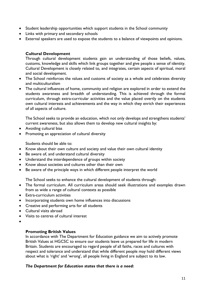- Student leadership opportunities which support students in the School community
- Links with primary and secondary schools
- External speakers are used to expose the students to a balance of viewpoints and opinions.

#### **Cultural Development**

Through cultural development students gain an understanding of those beliefs, values, customs, knowledge and skills which link groups together and give people a sense of identity. Cultural Development is closely related to, and integrates, certain aspects of spiritual, moral and social development.

- The School reinforces the values and customs of society as a whole and celebrates diversity and multiculturalism
- The cultural influences of home, community and religion are explored in order to extend the students awareness and breadth of understanding. This is achieved through the formal curriculum, through extra-curricular activities and the value placed overtly on the students own cultural interests and achievements and the way in which they enrich their experiences of all aspects of culture.

The School seeks to provide an education, which not only develops and strengthens students' current awareness, but also allows them to develop new cultural insights by:

- Avoiding cultural bias
- Promoting an appreciation of cultural diversity

Students should be able to:

- Know about their own culture and society and value their own cultural identity
- Be aware of, and understand cultural diversity
- Understand the interdependence of groups within society
- Know about societies and cultures other than their own
- Be aware of the principle ways in which different people interpret the world

The School seeks to enhance the cultural development of students through:

- The formal curriculum. All curriculum areas should seek illustrations and examples drawn from as wide a range of cultural contexts as possible
- Extra-curriculum activities
- Incorporating students own home influences into discussions
- Creative and performing arts for all students
- Cultural visits abroad
- Visits to centres of cultural interest
- •

#### **Promoting British Values**

In accordance with The Department for Education guidance we aim to actively promote British Values at HGCSC to ensure our students leave us prepared for life in modern Britain. Students are encouraged to regard people of all faiths, races and cultures with respect and tolerance and understand that while different people may hold different views about what is 'right' and 'wrong', all people living in England are subject to its law.

#### *The Department for Education states that there is a need:*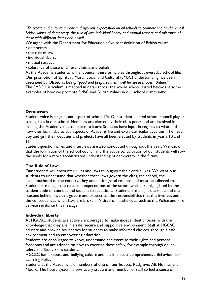*"To create and enforce a clear and rigorous expectation on all schools to promote the fundamental British values of democracy, the rule of law, individual liberty and mutual respect and tolerance of those with different faiths and beliefs".*

- We agree with the Department for Education's five-part definition of British values:
- democracy
- the rule of law
- individual liberty
- mutual respect
- tolerance of those of different faiths and beliefs

At the Academy students, will encounter these principles throughout everyday school life. Our promotion of Spiritual, Moral, Social and Cultural (SMSC) understanding has been described by Ofsted as being, *"good and prepares them well for life in modern Britain."* The SMSC curriculum is mapped in detail across the whole school. Listed below are some examples of how we promote SMSC and British Values in our school community:

#### **Democracy**

Student voice is a significant aspect of school life. Our student elected school council plays a strong role in our school. Members are elected by their class peers and are involved in making the Academy a better place to learn. Students have input in regards to what and how they learn, day to day aspects of Academy life and extra-curricular activities. The head boy and girl, their deputies and prefects have all been elected by students in year's 10 and 11.

Student questionnaires and interviews are also conducted throughout the year. We know that the formation of the school council and the active participation of our students will sow the seeds for a more sophisticated understanding of democracy in the future.

#### **The Rule of Law**

Our students will encounter rules and laws throughout their entire lives. We want our students to understand that whether these laws govern the class, the school, the neighbourhood or the country, they are set for good reasons and must be adhered to. Students are taught the rules and expectations of the school which are highlighted by the student code of conduct and student expectations. Students are taught the value and the reasons behind laws that govern and protect us, the responsibilities that this involves and the consequences when laws are broken. Visits from authorities such as the Police and Fire Service reinforce this message.

#### **Individual liberty**

At HGCSC, students are actively encouraged to make independent choices, with the knowledge that they are in a safe, secure and supportive environment. Staff at HGCSC educate and provide boundaries for students to make informed choices, through a safe environment and an empowering education.

Students are encouraged to know, understand and exercise their rights and personal freedoms and are advised on how to exercise these safely, for example through onlinesafety and Study Skills sessions.

HGCSC has a robust anti-bullying culture and has in place a comprehensive Behaviour for Learning Policy.

Students at the Academy are members of one of four houses; Redgrave, Ali, Holmes and Moore. The house system allows every student and member of staff to feel a sense of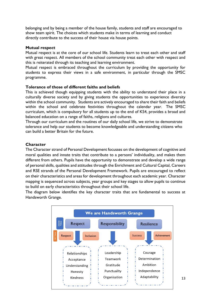belonging and by being a member of the house family, students and staff are encouraged to show team spirit. The choices which students make in terms of learning and conduct directly contribute to the success of their house via house points.

#### **Mutual respect**

Mutual respect is at the core of our school life. Students learn to treat each other and staff with great respect. All members of the school community treat each other with respect and this is reiterated through its teaching and learning environment.

Mutual respect is embraced throughout the curriculum by providing the opportunity for students to express their views in a safe environment, in particular through the SMSC programme.

#### **Tolerance of those of different faiths and beliefs**

This is achieved though equipping students with the ability to understand their place in a culturally diverse society and by giving students the opportunities to experience diversity within the school community. Students are actively encouraged to share their faith and beliefs within the school and celebrate festivities throughout the calendar year. The SMSC curriculum, which is compulsory for all students up to the end of KS4, provides a broad and balanced education on a range of faiths, religions and cultures.

Through our curriculum and the routines of our daily school life, we strive to demonstrate tolerance and help our students to become knowledgeable and understanding citizens who can build a better Britain for the future.

#### **Character**

The Character strand of Personal Development focusses on the development of cognitive and moral qualities and innate traits that contribute to a persons' individuality, and makes them different from others. Pupils have the opportunity to demonstrate and develop a wide range of personal skills, qualities and attitudes through the Enrichment and Cultural Capital, Careers and RSE strands of the Personal Development Framework. Pupils are encouraged to reflect on their characteristics and areas for development throughout each academic year. Character mapping is sequenced across subjects, year groups and key stages to allow pupils to continue to build on early characteristics throughout their school life.

The diagram below identifies the key character traits that are fundamental to success at Handsworth Grange.

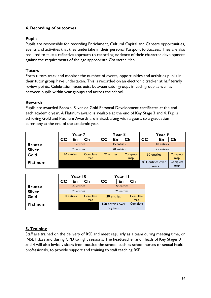# **4. Recording of outcomes**

#### **Pupils**

Pupils are responsible for recording Enrichment, Cultural Capital and Careers opportunities, events and activities that they undertake in their personal Passport to Success. They are also required to take a reflective approach to recording evidence of their character development against the requirements of the age appropriate Character Map.

# **Tutors**

Form tutors track and monitor the number of events, opportunities and activities pupils in their tutor group have undertaken. This is recorded on an electronic tracker at half termly review points. Celebration races exist between tutor groups in each group as well as between pupils within year groups and across the school.

#### **Rewards**

Pupils are awarded Bronze, Silver or Gold Personal Development certificates at the end each academic year. A Platinum award is available at the end of Key Stage 3 and 4. Pupils achieving Gold and Platinum Awards are invited, along with a guest, to a graduation ceremony at the end of the academic year.

|                 | Year 7     |            |          | Year 8     |            |               | Year 9           |    |          |
|-----------------|------------|------------|----------|------------|------------|---------------|------------------|----|----------|
|                 | <b>CC</b>  | En         | Ch       | CC         | En         | $\mathsf{Ch}$ | <b>CC</b>        | En | Ch       |
| <b>Bronze</b>   | 15 entries |            |          | 15 entries |            |               | 18 entries       |    |          |
| <b>Silver</b>   | 20 entries |            |          | 20 entries |            |               | 25 entries       |    |          |
| Gold            |            | 20 entries | Complete |            | 20 entries | Complete      | 30 entries       |    | Complete |
|                 |            |            | map      |            |            | map           |                  |    | map      |
| <b>Platinum</b> |            |            |          |            |            |               | 80+ entries over |    | Complete |
|                 |            |            |          |            |            |               | 3 years          |    | map      |

|                 | Year 10    |            |          | Year II          |    |          |
|-----------------|------------|------------|----------|------------------|----|----------|
|                 | cc         | En         | Ch       | cc               | En | Ch       |
| <b>Bronze</b>   | 20 entries |            |          | 20 entries       |    |          |
| <b>Silver</b>   | 25 entries |            |          | 25 entries       |    |          |
| Gold            |            | 30 entries | Complete | 30 entries       |    | Complete |
|                 |            | map        |          |                  |    | map      |
| <b>Platinum</b> |            |            |          | 150 entries over |    | Complete |
|                 |            |            |          | 5 years          |    | map      |

# **5. Training**

Staff are trained on the delivery of RSE and meet regularly as a team during meeting time, on INSET days and during CPD twilight sessions. The headteacher and Heads of Key Stages 3 and 4 will also invite visitors from outside the school, such as school nurses or sexual health professionals, to provide support and training to staff teaching RSE.